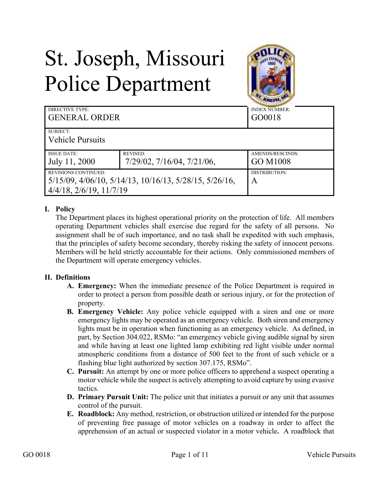# St. Joseph, Missouri Police Department



| <b>DIRECTIVE TYPE:</b><br><b>GENERAL ORDER</b>                           |                                               | <b>INDEX NUMBER:</b><br>GO0018 |
|--------------------------------------------------------------------------|-----------------------------------------------|--------------------------------|
| SUBJECT:<br><b>Vehicle Pursuits</b>                                      |                                               |                                |
|                                                                          |                                               |                                |
| <b>ISSUE DATE:</b><br>July 11, 2000                                      | <b>REVISED:</b><br>7/29/02, 7/16/04, 7/21/06, | AMENDS/RESCINDS:<br>GO M1008   |
|                                                                          |                                               |                                |
| <b>REVISIONS CONTINUED:</b>                                              |                                               | DISTRIBUTION:                  |
| $5/15/09$ , $4/06/10$ , $5/14/13$ , $10/16/13$ , $5/28/15$ , $5/26/16$ , |                                               | A                              |
| $4/4/18$ , $2/6/19$ , $11/7/19$                                          |                                               |                                |

## **I. Policy**

The Department places its highest operational priority on the protection of life. All members operating Department vehicles shall exercise due regard for the safety of all persons. No assignment shall be of such importance, and no task shall be expedited with such emphasis, that the principles of safety become secondary, thereby risking the safety of innocent persons. Members will be held strictly accountable for their actions. Only commissioned members of the Department will operate emergency vehicles.

#### **II. Definitions**

- **A. Emergency:** When the immediate presence of the Police Department is required in order to protect a person from possible death or serious injury, or for the protection of property.
- **B. Emergency Vehicle:** Any police vehicle equipped with a siren and one or more emergency lights may be operated as an emergency vehicle. Both siren and emergency lights must be in operation when functioning as an emergency vehicle. As defined, in part, by Section 304.022, RSMo: "an emergency vehicle giving audible signal by siren and while having at least one lighted lamp exhibiting red light visible under normal atmospheric conditions from a distance of 500 feet to the front of such vehicle or a flashing blue light authorized by section 307.175, RSMo".
- **C. Pursuit:** An attempt by one or more police officers to apprehend a suspect operating a motor vehicle while the suspect is actively attempting to avoid capture by using evasive tactics.
- **D. Primary Pursuit Unit:** The police unit that initiates a pursuit or any unit that assumes control of the pursuit.
- **E. Roadblock:** Any method, restriction, or obstruction utilized or intended for the purpose of preventing free passage of motor vehicles on a roadway in order to affect the apprehension of an actual or suspected violator in a motor vehicle**.** A roadblock that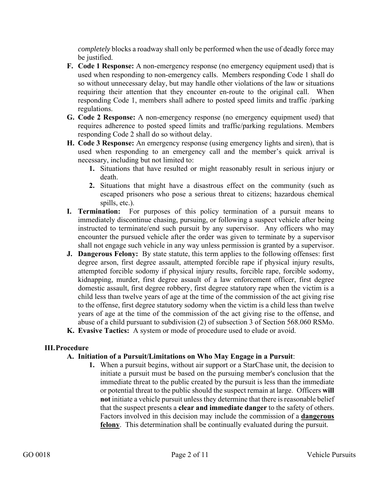*completely* blocks a roadway shall only be performed when the use of deadly force may be justified.

- **F. Code 1 Response:** A non-emergency response (no emergency equipment used) that is used when responding to non-emergency calls. Members responding Code 1 shall do so without unnecessary delay, but may handle other violations of the law or situations requiring their attention that they encounter en-route to the original call. When responding Code 1, members shall adhere to posted speed limits and traffic /parking regulations.
- **G. Code 2 Response:** A non-emergency response (no emergency equipment used) that requires adherence to posted speed limits and traffic/parking regulations. Members responding Code 2 shall do so without delay.
- **H. Code 3 Response:** An emergency response (using emergency lights and siren), that is used when responding to an emergency call and the member's quick arrival is necessary, including but not limited to:
	- **1.** Situations that have resulted or might reasonably result in serious injury or death.
	- **2.** Situations that might have a disastrous effect on the community (such as escaped prisoners who pose a serious threat to citizens; hazardous chemical spills, etc.).
- **I. Termination:** For purposes of this policy termination of a pursuit means to immediately discontinue chasing, pursuing, or following a suspect vehicle after being instructed to terminate/end such pursuit by any supervisor. Any officers who may encounter the pursued vehicle after the order was given to terminate by a supervisor shall not engage such vehicle in any way unless permission is granted by a supervisor.
- **J. Dangerous Felony:** By state statute, this term applies to the following offenses: first degree arson, first degree assault, attempted forcible rape if physical injury results, attempted forcible sodomy if physical injury results, forcible rape, forcible sodomy, kidnapping, murder, first degree assault of a law enforcement officer, first degree domestic assault, first degree robbery, first degree statutory rape when the victim is a child less than twelve years of age at the time of the commission of the act giving rise to the offense, first degree statutory sodomy when the victim is a child less than twelve years of age at the time of the commission of the act giving rise to the offense, and abuse of a child pursuant to subdivision (2) of subsection 3 of Section 568.060 RSMo. **K. Evasive Tactics:** A system or mode of procedure used to elude or avoid.

#### **III.Procedure**

#### **A. Initiation of a Pursuit/Limitations on Who May Engage in a Pursuit**:

**1.** When a pursuit begins, without air support or a StarChase unit, the decision to initiate a pursuit must be based on the pursuing member's conclusion that the immediate threat to the public created by the pursuit is less than the immediate or potential threat to the public should the suspect remain at large. Officers **will not** initiate a vehicle pursuit unless they determine that there is reasonable belief that the suspect presents a **clear and immediate danger** to the safety of others. Factors involved in this decision may include the commission of a **dangerous felony**. This determination shall be continually evaluated during the pursuit.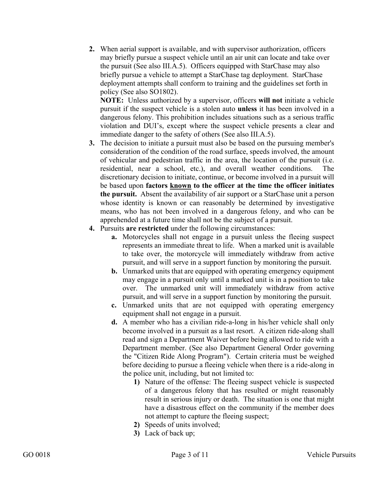**2.** When aerial support is available, and with supervisor authorization, officers may briefly pursue a suspect vehicle until an air unit can locate and take over the pursuit (See also III.A.5). Officers equipped with StarChase may also briefly pursue a vehicle to attempt a StarChase tag deployment. StarChase deployment attempts shall conform to training and the guidelines set forth in policy (See also SO1802).

**NOTE:** Unless authorized by a supervisor, officers **will not** initiate a vehicle pursuit if the suspect vehicle is a stolen auto **unless** it has been involved in a dangerous felony. This prohibition includes situations such as a serious traffic violation and DUI's, except where the suspect vehicle presents a clear and immediate danger to the safety of others (See also III.A.5).

- **3.** The decision to initiate a pursuit must also be based on the pursuing member's consideration of the condition of the road surface, speeds involved, the amount of vehicular and pedestrian traffic in the area, the location of the pursuit (i.e. residential, near a school, etc.), and overall weather conditions. The discretionary decision to initiate, continue, or become involved in a pursuit will be based upon **factors known to the officer at the time the officer initiates the pursuit.** Absent the availability of air support or a StarChase unit a person whose identity is known or can reasonably be determined by investigative means, who has not been involved in a dangerous felony, and who can be apprehended at a future time shall not be the subject of a pursuit.
- **4.** Pursuits **are restricted** under the following circumstances:
	- **a.** Motorcycles shall not engage in a pursuit unless the fleeing suspect represents an immediate threat to life. When a marked unit is available to take over, the motorcycle will immediately withdraw from active pursuit, and will serve in a support function by monitoring the pursuit.
	- **b.** Unmarked units that are equipped with operating emergency equipment may engage in a pursuit only until a marked unit is in a position to take over. The unmarked unit will immediately withdraw from active pursuit, and will serve in a support function by monitoring the pursuit.
	- **c.** Unmarked units that are not equipped with operating emergency equipment shall not engage in a pursuit.
	- **d.** A member who has a civilian ride-a-long in his/her vehicle shall only become involved in a pursuit as a last resort. A citizen ride-along shall read and sign a Department Waiver before being allowed to ride with a Department member. (See also Department General Order governing the "Citizen Ride Along Program"). Certain criteria must be weighed before deciding to pursue a fleeing vehicle when there is a ride-along in the police unit, including, but not limited to:
		- **1)** Nature of the offense: The fleeing suspect vehicle is suspected of a dangerous felony that has resulted or might reasonably result in serious injury or death. The situation is one that might have a disastrous effect on the community if the member does not attempt to capture the fleeing suspect;
		- **2)** Speeds of units involved;
		- **3)** Lack of back up;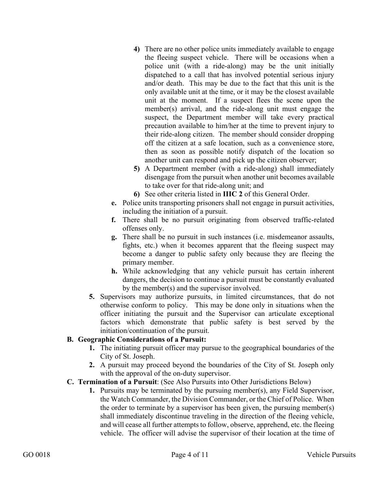- **4)** There are no other police units immediately available to engage the fleeing suspect vehicle. There will be occasions when a police unit (with a ride-along) may be the unit initially dispatched to a call that has involved potential serious injury and/or death. This may be due to the fact that this unit is the only available unit at the time, or it may be the closest available unit at the moment. If a suspect flees the scene upon the member(s) arrival, and the ride-along unit must engage the suspect, the Department member will take every practical precaution available to him/her at the time to prevent injury to their ride-along citizen. The member should consider dropping off the citizen at a safe location, such as a convenience store, then as soon as possible notify dispatch of the location so another unit can respond and pick up the citizen observer;
- **5)** A Department member (with a ride-along) shall immediately disengage from the pursuit when another unit becomes available to take over for that ride-along unit; and
- **6)** See other criteria listed in **IIIC 2** of this General Order.
- **e.** Police units transporting prisoners shall not engage in pursuit activities, including the initiation of a pursuit.
- **f.** There shall be no pursuit originating from observed traffic-related offenses only.
- **g.** There shall be no pursuit in such instances (i.e. misdemeanor assaults, fights, etc.) when it becomes apparent that the fleeing suspect may become a danger to public safety only because they are fleeing the primary member.
- **h.** While acknowledging that any vehicle pursuit has certain inherent dangers, the decision to continue a pursuit must be constantly evaluated by the member(s) and the supervisor involved.
- **5.** Supervisors may authorize pursuits, in limited circumstances, that do not otherwise conform to policy. This may be done only in situations when the officer initiating the pursuit and the Supervisor can articulate exceptional factors which demonstrate that public safety is best served by the initiation/continuation of the pursuit.

#### **B. Geographic Considerations of a Pursuit:**

- **1.** The initiating pursuit officer may pursue to the geographical boundaries of the City of St. Joseph.
- **2.** A pursuit may proceed beyond the boundaries of the City of St. Joseph only with the approval of the on-duty supervisor.
- **C. Termination of a Pursuit**: (See Also Pursuits into Other Jurisdictions Below)
	- **1.** Pursuits may be terminated by the pursuing member(s), any Field Supervisor, the Watch Commander, the Division Commander, or the Chief of Police. When the order to terminate by a supervisor has been given, the pursuing member(s) shall immediately discontinue traveling in the direction of the fleeing vehicle, and will cease all further attempts to follow, observe, apprehend, etc. the fleeing vehicle. The officer will advise the supervisor of their location at the time of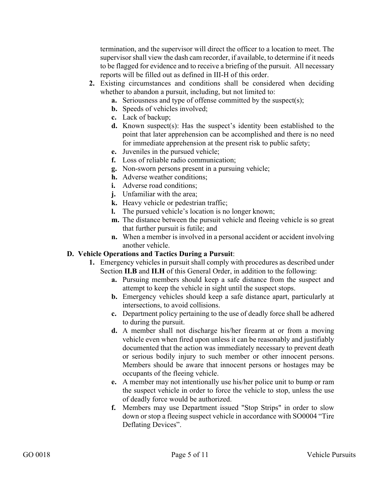termination, and the supervisor will direct the officer to a location to meet. The supervisor shall view the dash cam recorder, if available, to determine if it needs to be flagged for evidence and to receive a briefing of the pursuit. All necessary reports will be filled out as defined in III-H of this order.

- **2.** Existing circumstances and conditions shall be considered when deciding whether to abandon a pursuit, including, but not limited to:
	- **a.** Seriousness and type of offense committed by the suspect(s);
	- **b.** Speeds of vehicles involved;
	- **c.** Lack of backup;
	- **d.** Known suspect(s): Has the suspect's identity been established to the point that later apprehension can be accomplished and there is no need for immediate apprehension at the present risk to public safety;
	- **e.** Juveniles in the pursued vehicle;
	- **f.** Loss of reliable radio communication;
	- **g.** Non-sworn persons present in a pursuing vehicle;
	- **h.** Adverse weather conditions;
	- **i.** Adverse road conditions:
	- **j.** Unfamiliar with the area;
	- **k.** Heavy vehicle or pedestrian traffic;
	- **l.** The pursued vehicle's location is no longer known;
	- **m.** The distance between the pursuit vehicle and fleeing vehicle is so great that further pursuit is futile; and
	- **n.** When a member is involved in a personal accident or accident involving another vehicle.

## **D. Vehicle Operations and Tactics During a Pursuit**:

- **1.** Emergency vehicles in pursuit shall comply with procedures as described under Section **II.B** and **II.H** of this General Order, in addition to the following:
	- **a.** Pursuing members should keep a safe distance from the suspect and attempt to keep the vehicle in sight until the suspect stops.
	- **b.** Emergency vehicles should keep a safe distance apart, particularly at intersections, to avoid collisions.
	- **c.** Department policy pertaining to the use of deadly force shall be adhered to during the pursuit.
	- **d.** A member shall not discharge his/her firearm at or from a moving vehicle even when fired upon unless it can be reasonably and justifiably documented that the action was immediately necessary to prevent death or serious bodily injury to such member or other innocent persons. Members should be aware that innocent persons or hostages may be occupants of the fleeing vehicle.
	- **e.** A member may not intentionally use his/her police unit to bump or ram the suspect vehicle in order to force the vehicle to stop, unless the use of deadly force would be authorized.
	- **f.** Members may use Department issued "Stop Strips" in order to slow down or stop a fleeing suspect vehicle in accordance with SO0004 "Tire Deflating Devices".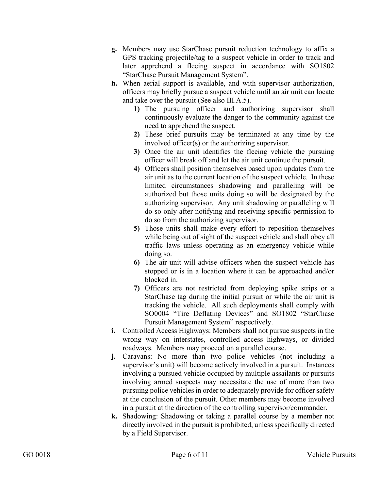- **g.** Members may use StarChase pursuit reduction technology to affix a GPS tracking projectile/tag to a suspect vehicle in order to track and later apprehend a fleeing suspect in accordance with SO1802 "StarChase Pursuit Management System".
- **h.** When aerial support is available, and with supervisor authorization, officers may briefly pursue a suspect vehicle until an air unit can locate and take over the pursuit (See also III.A.5).
	- **1)** The pursuing officer and authorizing supervisor shall continuously evaluate the danger to the community against the need to apprehend the suspect.
	- **2)** These brief pursuits may be terminated at any time by the involved officer(s) or the authorizing supervisor.
	- **3)** Once the air unit identifies the fleeing vehicle the pursuing officer will break off and let the air unit continue the pursuit.
	- **4)** Officers shall position themselves based upon updates from the air unit as to the current location of the suspect vehicle. In these limited circumstances shadowing and paralleling will be authorized but those units doing so will be designated by the authorizing supervisor. Any unit shadowing or paralleling will do so only after notifying and receiving specific permission to do so from the authorizing supervisor.
	- **5)** Those units shall make every effort to reposition themselves while being out of sight of the suspect vehicle and shall obey all traffic laws unless operating as an emergency vehicle while doing so.
	- **6)** The air unit will advise officers when the suspect vehicle has stopped or is in a location where it can be approached and/or blocked in.
	- **7)** Officers are not restricted from deploying spike strips or a StarChase tag during the initial pursuit or while the air unit is tracking the vehicle. All such deployments shall comply with SO0004 "Tire Deflating Devices" and SO1802 "StarChase Pursuit Management System" respectively.
- **i.** Controlled Access Highways: Members shall not pursue suspects in the wrong way on interstates, controlled access highways, or divided roadways. Members may proceed on a parallel course.
- **j.** Caravans: No more than two police vehicles (not including a supervisor's unit) will become actively involved in a pursuit. Instances involving a pursued vehicle occupied by multiple assailants or pursuits involving armed suspects may necessitate the use of more than two pursuing police vehicles in order to adequately provide for officer safety at the conclusion of the pursuit. Other members may become involved in a pursuit at the direction of the controlling supervisor/commander.
- **k.** Shadowing: Shadowing or taking a parallel course by a member not directly involved in the pursuit is prohibited, unless specifically directed by a Field Supervisor.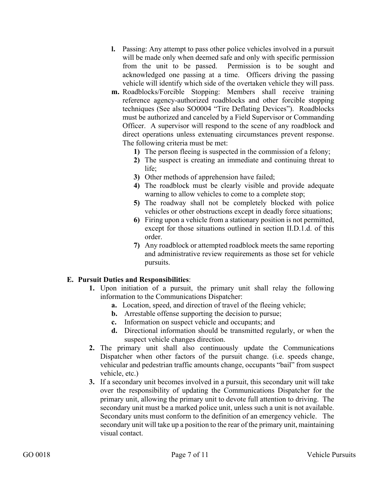- **l.** Passing: Any attempt to pass other police vehicles involved in a pursuit will be made only when deemed safe and only with specific permission from the unit to be passed. Permission is to be sought and acknowledged one passing at a time. Officers driving the passing vehicle will identify which side of the overtaken vehicle they will pass.
- **m.** Roadblocks/Forcible Stopping: Members shall receive training reference agency-authorized roadblocks and other forcible stopping techniques (See also SO0004 "Tire Deflating Devices"). Roadblocks must be authorized and canceled by a Field Supervisor or Commanding Officer. A supervisor will respond to the scene of any roadblock and direct operations unless extenuating circumstances prevent response. The following criteria must be met:
	- **1)** The person fleeing is suspected in the commission of a felony;
	- **2)** The suspect is creating an immediate and continuing threat to life;
	- **3)** Other methods of apprehension have failed;
	- **4)** The roadblock must be clearly visible and provide adequate warning to allow vehicles to come to a complete stop;
	- **5)** The roadway shall not be completely blocked with police vehicles or other obstructions except in deadly force situations;
	- **6)** Firing upon a vehicle from a stationary position is not permitted, except for those situations outlined in section II.D.1.d. of this order.
	- **7)** Any roadblock or attempted roadblock meets the same reporting and administrative review requirements as those set for vehicle pursuits.

#### **E. Pursuit Duties and Responsibilities**:

- **1.** Upon initiation of a pursuit, the primary unit shall relay the following information to the Communications Dispatcher:
	- **a.** Location, speed, and direction of travel of the fleeing vehicle;
	- **b.** Arrestable offense supporting the decision to pursue;
	- **c.** Information on suspect vehicle and occupants; and
	- **d.** Directional information should be transmitted regularly, or when the suspect vehicle changes direction.
- **2.** The primary unit shall also continuously update the Communications Dispatcher when other factors of the pursuit change. (i.e. speeds change, vehicular and pedestrian traffic amounts change, occupants "bail" from suspect vehicle, etc.)
- **3.** If a secondary unit becomes involved in a pursuit, this secondary unit will take over the responsibility of updating the Communications Dispatcher for the primary unit, allowing the primary unit to devote full attention to driving. The secondary unit must be a marked police unit, unless such a unit is not available. Secondary units must conform to the definition of an emergency vehicle. The secondary unit will take up a position to the rear of the primary unit, maintaining visual contact.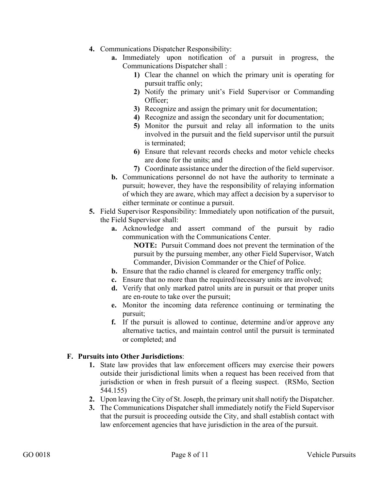- **4.** Communications Dispatcher Responsibility:
	- **a.** Immediately upon notification of a pursuit in progress, the Communications Dispatcher shall :
		- **1)** Clear the channel on which the primary unit is operating for pursuit traffic only;
		- **2)** Notify the primary unit's Field Supervisor or Commanding Officer;
		- **3)** Recognize and assign the primary unit for documentation;
		- **4)** Recognize and assign the secondary unit for documentation;
		- **5)** Monitor the pursuit and relay all information to the units involved in the pursuit and the field supervisor until the pursuit is terminated;
		- **6)** Ensure that relevant records checks and motor vehicle checks are done for the units; and
		- **7)** Coordinate assistance under the direction of the field supervisor.
	- **b.** Communications personnel do not have the authority to terminate a pursuit; however, they have the responsibility of relaying information of which they are aware, which may affect a decision by a supervisor to either terminate or continue a pursuit.
- **5.** Field Supervisor Responsibility: Immediately upon notification of the pursuit, the Field Supervisor shall:
	- **a.** Acknowledge and assert command of the pursuit by radio communication with the Communications Center.

**NOTE:** Pursuit Command does not prevent the termination of the pursuit by the pursuing member, any other Field Supervisor, Watch Commander, Division Commander or the Chief of Police.

- **b.** Ensure that the radio channel is cleared for emergency traffic only;
- **c.** Ensure that no more than the required/necessary units are involved;
- **d.** Verify that only marked patrol units are in pursuit or that proper units are en-route to take over the pursuit;
- **e.** Monitor the incoming data reference continuing or terminating the pursuit;
- **f.** If the pursuit is allowed to continue, determine and/or approve any alternative tactics, and maintain control until the pursuit is terminated or completed; and

#### **F. Pursuits into Other Jurisdictions**:

- **1.** State law provides that law enforcement officers may exercise their powers outside their jurisdictional limits when a request has been received from that jurisdiction or when in fresh pursuit of a fleeing suspect. (RSMo, Section 544.155)
- **2.** Upon leaving the City of St. Joseph, the primary unit shall notify the Dispatcher.
- **3.** The Communications Dispatcher shall immediately notify the Field Supervisor that the pursuit is proceeding outside the City, and shall establish contact with law enforcement agencies that have jurisdiction in the area of the pursuit.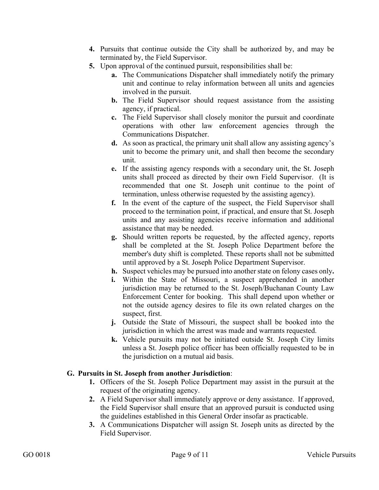- **4.** Pursuits that continue outside the City shall be authorized by, and may be terminated by, the Field Supervisor.
- **5.** Upon approval of the continued pursuit, responsibilities shall be:
	- **a.** The Communications Dispatcher shall immediately notify the primary unit and continue to relay information between all units and agencies involved in the pursuit.
	- **b.** The Field Supervisor should request assistance from the assisting agency, if practical.
	- **c.** The Field Supervisor shall closely monitor the pursuit and coordinate operations with other law enforcement agencies through the Communications Dispatcher.
	- **d.** As soon as practical, the primary unit shall allow any assisting agency's unit to become the primary unit, and shall then become the secondary unit.
	- **e.** If the assisting agency responds with a secondary unit, the St. Joseph units shall proceed as directed by their own Field Supervisor. (It is recommended that one St. Joseph unit continue to the point of termination, unless otherwise requested by the assisting agency).
	- **f.** In the event of the capture of the suspect, the Field Supervisor shall proceed to the termination point, if practical, and ensure that St. Joseph units and any assisting agencies receive information and additional assistance that may be needed.
	- **g.** Should written reports be requested, by the affected agency, reports shall be completed at the St. Joseph Police Department before the member's duty shift is completed. These reports shall not be submitted until approved by a St. Joseph Police Department Supervisor.
	- **h.** Suspect vehicles may be pursued into another state on felony cases only**.**
	- **i.** Within the State of Missouri, a suspect apprehended in another jurisdiction may be returned to the St. Joseph/Buchanan County Law Enforcement Center for booking. This shall depend upon whether or not the outside agency desires to file its own related charges on the suspect, first.
	- **j.** Outside the State of Missouri, the suspect shall be booked into the jurisdiction in which the arrest was made and warrants requested.
	- **k.** Vehicle pursuits may not be initiated outside St. Joseph City limits unless a St. Joseph police officer has been officially requested to be in the jurisdiction on a mutual aid basis.

#### **G. Pursuits in St. Joseph from another Jurisdiction**:

- **1.** Officers of the St. Joseph Police Department may assist in the pursuit at the request of the originating agency.
- **2.** A Field Supervisor shall immediately approve or deny assistance. If approved, the Field Supervisor shall ensure that an approved pursuit is conducted using the guidelines established in this General Order insofar as practicable.
- **3.** A Communications Dispatcher will assign St. Joseph units as directed by the Field Supervisor.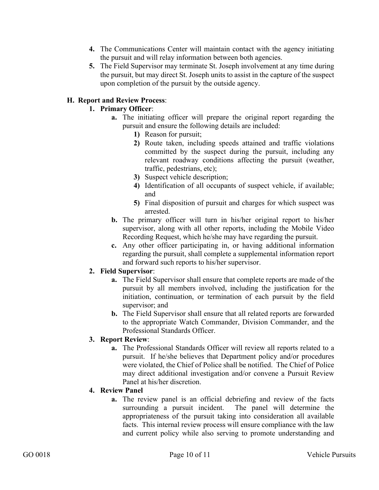- **4.** The Communications Center will maintain contact with the agency initiating the pursuit and will relay information between both agencies.
- **5.** The Field Supervisor may terminate St. Joseph involvement at any time during the pursuit, but may direct St. Joseph units to assist in the capture of the suspect upon completion of the pursuit by the outside agency.

## **H. Report and Review Process**:

### **1. Primary Officer**:

- **a.** The initiating officer will prepare the original report regarding the pursuit and ensure the following details are included:
	- **1)** Reason for pursuit;
	- **2)** Route taken, including speeds attained and traffic violations committed by the suspect during the pursuit, including any relevant roadway conditions affecting the pursuit (weather, traffic, pedestrians, etc);
	- **3)** Suspect vehicle description;
	- **4)** Identification of all occupants of suspect vehicle, if available; and
	- **5)** Final disposition of pursuit and charges for which suspect was arrested.
- **b.** The primary officer will turn in his/her original report to his/her supervisor, along with all other reports, including the Mobile Video Recording Request, which he/she may have regarding the pursuit.
- **c.** Any other officer participating in, or having additional information regarding the pursuit, shall complete a supplemental information report and forward such reports to his/her supervisor.

#### **2. Field Supervisor**:

- **a.** The Field Supervisor shall ensure that complete reports are made of the pursuit by all members involved, including the justification for the initiation, continuation, or termination of each pursuit by the field supervisor; and
- **b.** The Field Supervisor shall ensure that all related reports are forwarded to the appropriate Watch Commander, Division Commander, and the Professional Standards Officer.

## **3. Report Review**:

**a.** The Professional Standards Officer will review all reports related to a pursuit. If he/she believes that Department policy and/or procedures were violated, the Chief of Police shall be notified. The Chief of Police may direct additional investigation and/or convene a Pursuit Review Panel at his/her discretion.

## **4. Review Panel**

**a.** The review panel is an official debriefing and review of the facts surrounding a pursuit incident. The panel will determine the appropriateness of the pursuit taking into consideration all available facts. This internal review process will ensure compliance with the law and current policy while also serving to promote understanding and